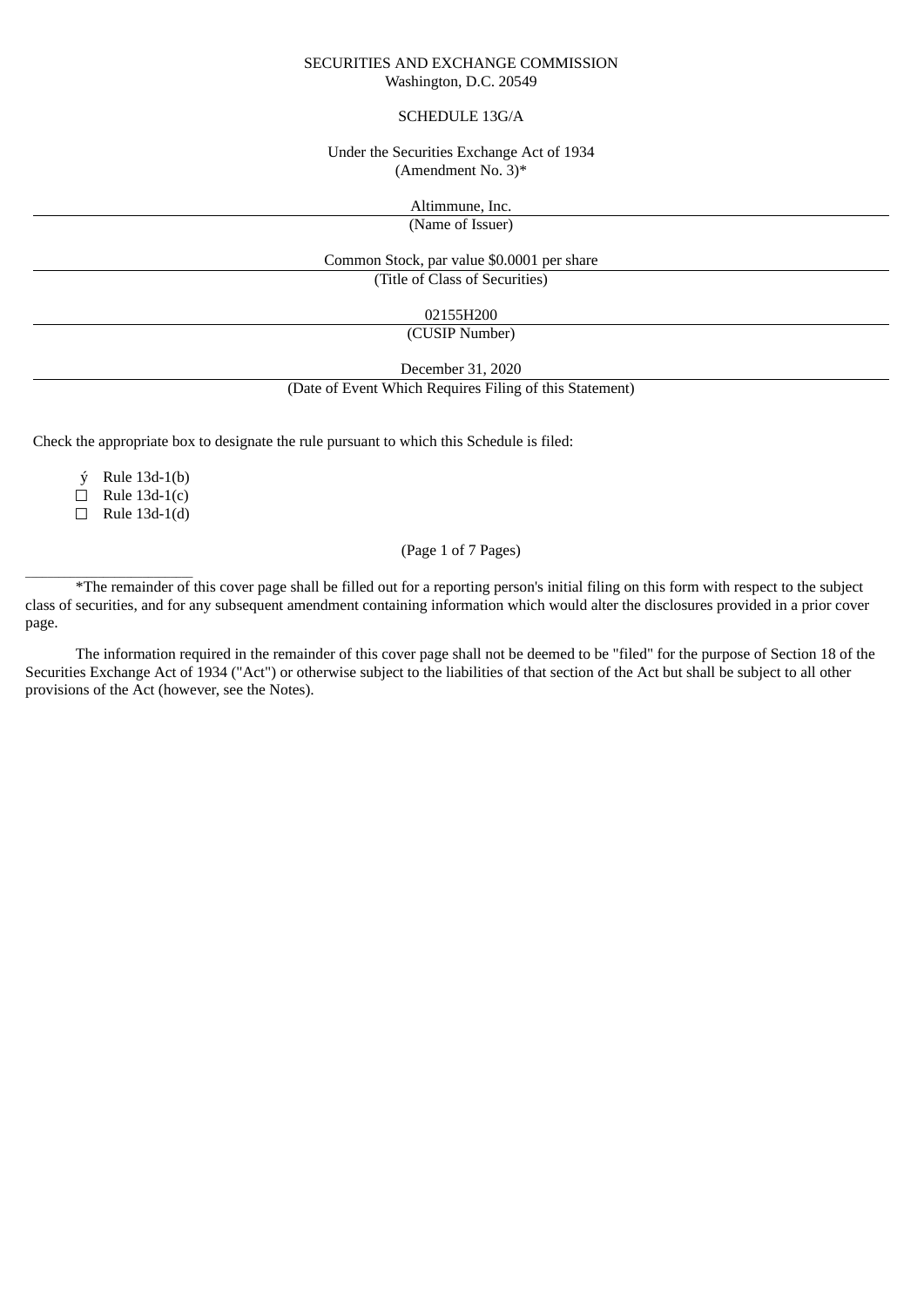#### SECURITIES AND EXCHANGE COMMISSION Washington, D.C. 20549

#### SCHEDULE 13G/A

## Under the Securities Exchange Act of 1934 (Amendment No. 3)\*

Altimmune, Inc.

(Name of Issuer)

Common Stock, par value \$0.0001 per share

(Title of Class of Securities)

02155H200

(CUSIP Number)

December 31, 2020

(Date of Event Which Requires Filing of this Statement)

Check the appropriate box to designate the rule pursuant to which this Schedule is filed:

ý Rule 13d-1(b)

 $\Box$  Rule 13d-1(c)

☐ Rule 13d-1(d)

(Page 1 of 7 Pages)

\_\_\_\_\_\_\_\_\_\_\_\_\_\_\_\_\_\_\_\_\_\_\_\_\_\_\_\_\_\_ \*The remainder of this cover page shall be filled out for a reporting person's initial filing on this form with respect to the subject class of securities, and for any subsequent amendment containing information which would alter the disclosures provided in a prior cover page.

The information required in the remainder of this cover page shall not be deemed to be "filed" for the purpose of Section 18 of the Securities Exchange Act of 1934 ("Act") or otherwise subject to the liabilities of that section of the Act but shall be subject to all other provisions of the Act (however, see the Notes).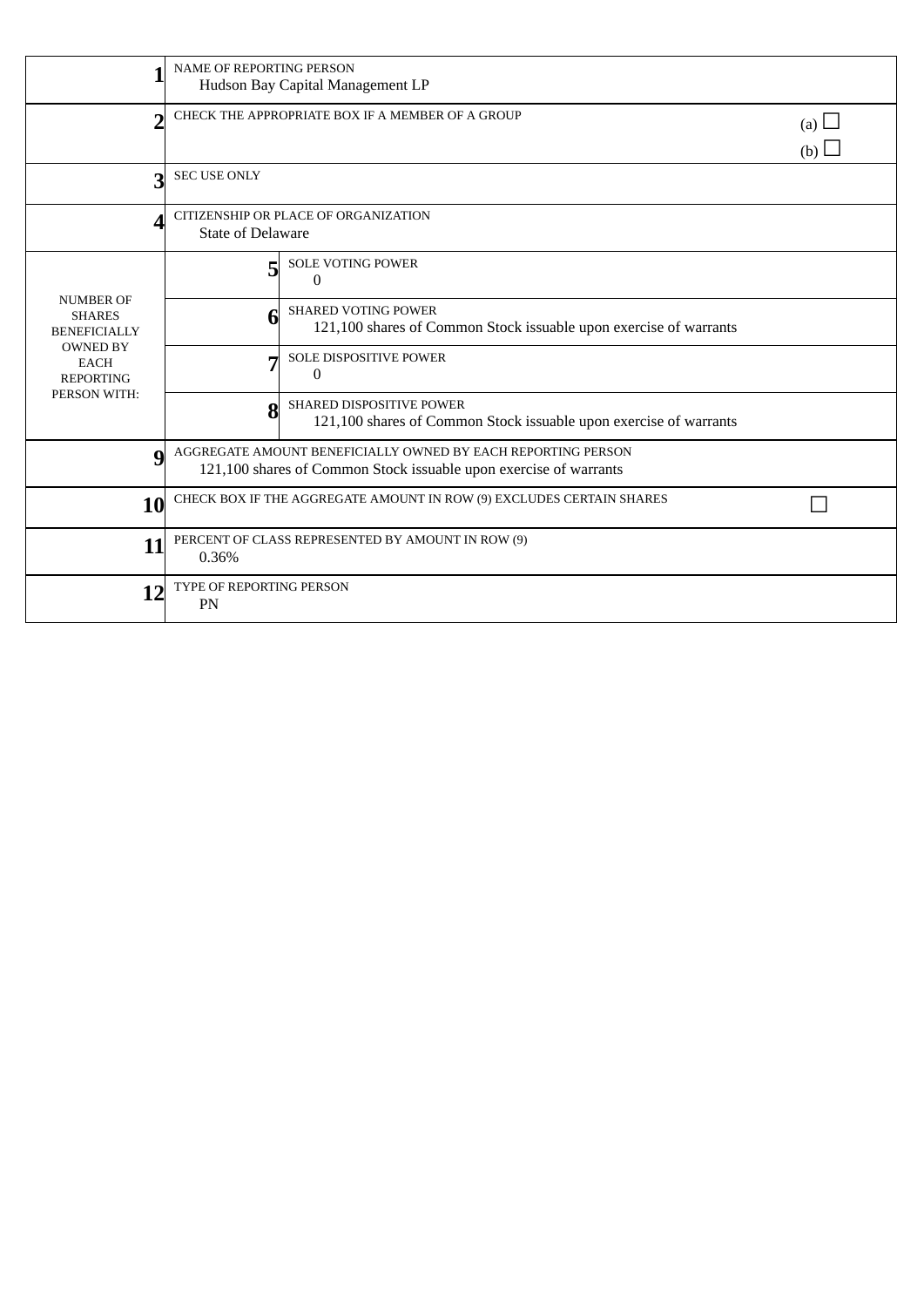|                                                                                                                                | <b>NAME OF REPORTING PERSON</b><br>Hudson Bay Capital Management LP                                                               |                                                                                                      |  |  |  |
|--------------------------------------------------------------------------------------------------------------------------------|-----------------------------------------------------------------------------------------------------------------------------------|------------------------------------------------------------------------------------------------------|--|--|--|
| n                                                                                                                              | CHECK THE APPROPRIATE BOX IF A MEMBER OF A GROUP                                                                                  | (a) $\Box$<br>(b)                                                                                    |  |  |  |
| 3                                                                                                                              | <b>SEC USE ONLY</b>                                                                                                               |                                                                                                      |  |  |  |
|                                                                                                                                | CITIZENSHIP OR PLACE OF ORGANIZATION<br><b>State of Delaware</b>                                                                  |                                                                                                      |  |  |  |
| <b>NUMBER OF</b><br><b>SHARES</b><br><b>BENEFICIALLY</b><br><b>OWNED BY</b><br><b>EACH</b><br><b>REPORTING</b><br>PERSON WITH: | 5                                                                                                                                 | <b>SOLE VOTING POWER</b><br>$\Omega$                                                                 |  |  |  |
|                                                                                                                                | 6                                                                                                                                 | <b>SHARED VOTING POWER</b><br>121,100 shares of Common Stock issuable upon exercise of warrants      |  |  |  |
|                                                                                                                                | г.                                                                                                                                | SOLE DISPOSITIVE POWER<br>$\Omega$                                                                   |  |  |  |
|                                                                                                                                | 8                                                                                                                                 | <b>SHARED DISPOSITIVE POWER</b><br>121,100 shares of Common Stock issuable upon exercise of warrants |  |  |  |
| g                                                                                                                              | AGGREGATE AMOUNT BENEFICIALLY OWNED BY EACH REPORTING PERSON<br>121,100 shares of Common Stock issuable upon exercise of warrants |                                                                                                      |  |  |  |
| 10                                                                                                                             | CHECK BOX IF THE AGGREGATE AMOUNT IN ROW (9) EXCLUDES CERTAIN SHARES                                                              |                                                                                                      |  |  |  |
| 11                                                                                                                             | PERCENT OF CLASS REPRESENTED BY AMOUNT IN ROW (9)<br>0.36%                                                                        |                                                                                                      |  |  |  |
| 12                                                                                                                             | <b>TYPE OF REPORTING PERSON</b><br>PN                                                                                             |                                                                                                      |  |  |  |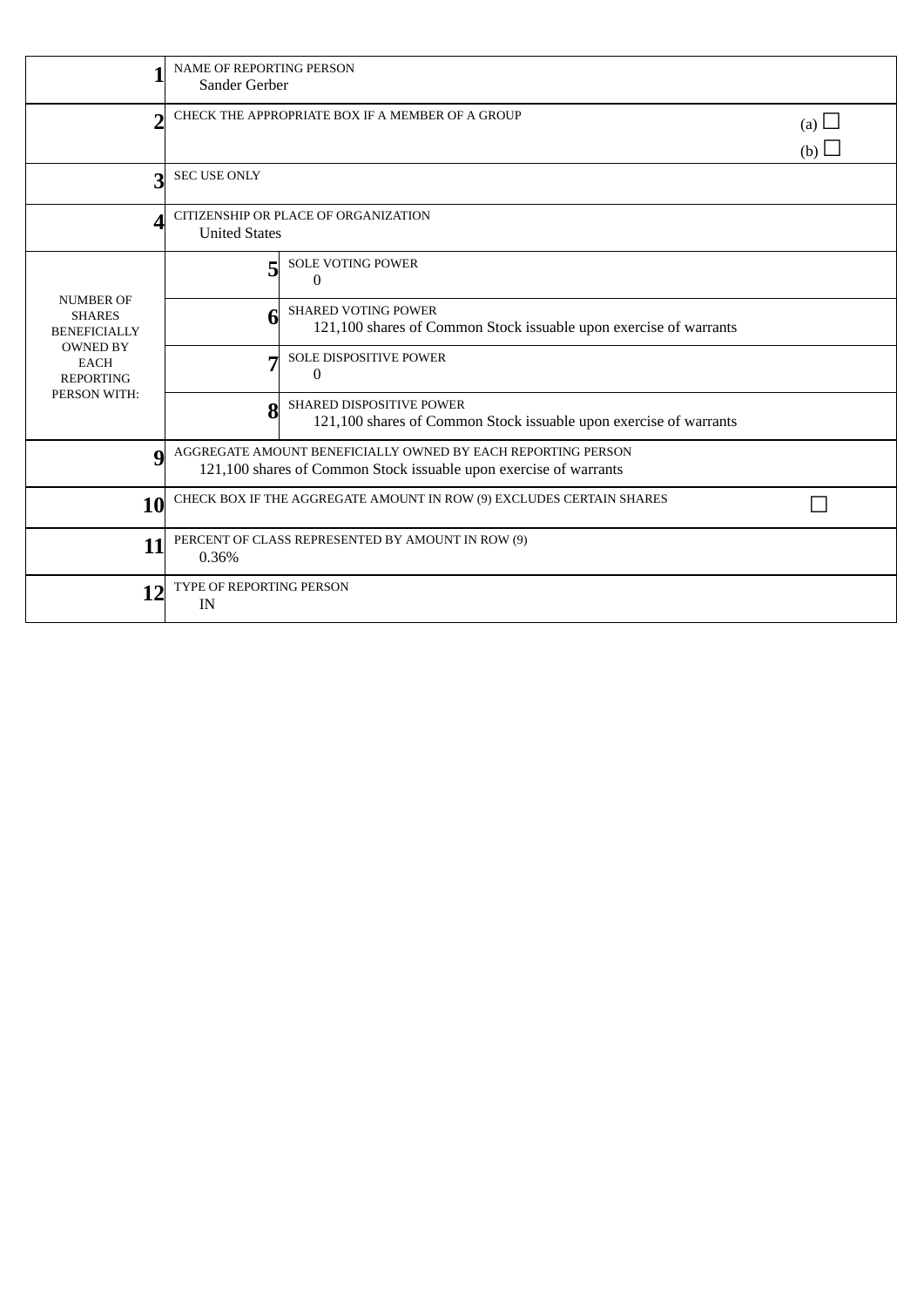|                                                                                                                                | <b>NAME OF REPORTING PERSON</b><br>Sander Gerber                                                                                  |                                                                                                      |  |  |  |
|--------------------------------------------------------------------------------------------------------------------------------|-----------------------------------------------------------------------------------------------------------------------------------|------------------------------------------------------------------------------------------------------|--|--|--|
| n                                                                                                                              | CHECK THE APPROPRIATE BOX IF A MEMBER OF A GROUP                                                                                  | (a) $\Box$<br>(b)                                                                                    |  |  |  |
| 3                                                                                                                              | <b>SEC USE ONLY</b>                                                                                                               |                                                                                                      |  |  |  |
|                                                                                                                                | CITIZENSHIP OR PLACE OF ORGANIZATION<br><b>United States</b>                                                                      |                                                                                                      |  |  |  |
| <b>NUMBER OF</b><br><b>SHARES</b><br><b>BENEFICIALLY</b><br><b>OWNED BY</b><br><b>EACH</b><br><b>REPORTING</b><br>PERSON WITH: | 5                                                                                                                                 | <b>SOLE VOTING POWER</b><br>$\Omega$                                                                 |  |  |  |
|                                                                                                                                | 6                                                                                                                                 | <b>SHARED VOTING POWER</b><br>121,100 shares of Common Stock issuable upon exercise of warrants      |  |  |  |
|                                                                                                                                | г.                                                                                                                                | SOLE DISPOSITIVE POWER<br>$\Omega$                                                                   |  |  |  |
|                                                                                                                                | 8                                                                                                                                 | <b>SHARED DISPOSITIVE POWER</b><br>121,100 shares of Common Stock issuable upon exercise of warrants |  |  |  |
| g                                                                                                                              | AGGREGATE AMOUNT BENEFICIALLY OWNED BY EACH REPORTING PERSON<br>121,100 shares of Common Stock issuable upon exercise of warrants |                                                                                                      |  |  |  |
| 10                                                                                                                             | CHECK BOX IF THE AGGREGATE AMOUNT IN ROW (9) EXCLUDES CERTAIN SHARES                                                              |                                                                                                      |  |  |  |
| 11                                                                                                                             | PERCENT OF CLASS REPRESENTED BY AMOUNT IN ROW (9)<br>0.36%                                                                        |                                                                                                      |  |  |  |
| 12                                                                                                                             | <b>TYPE OF REPORTING PERSON</b><br>IN                                                                                             |                                                                                                      |  |  |  |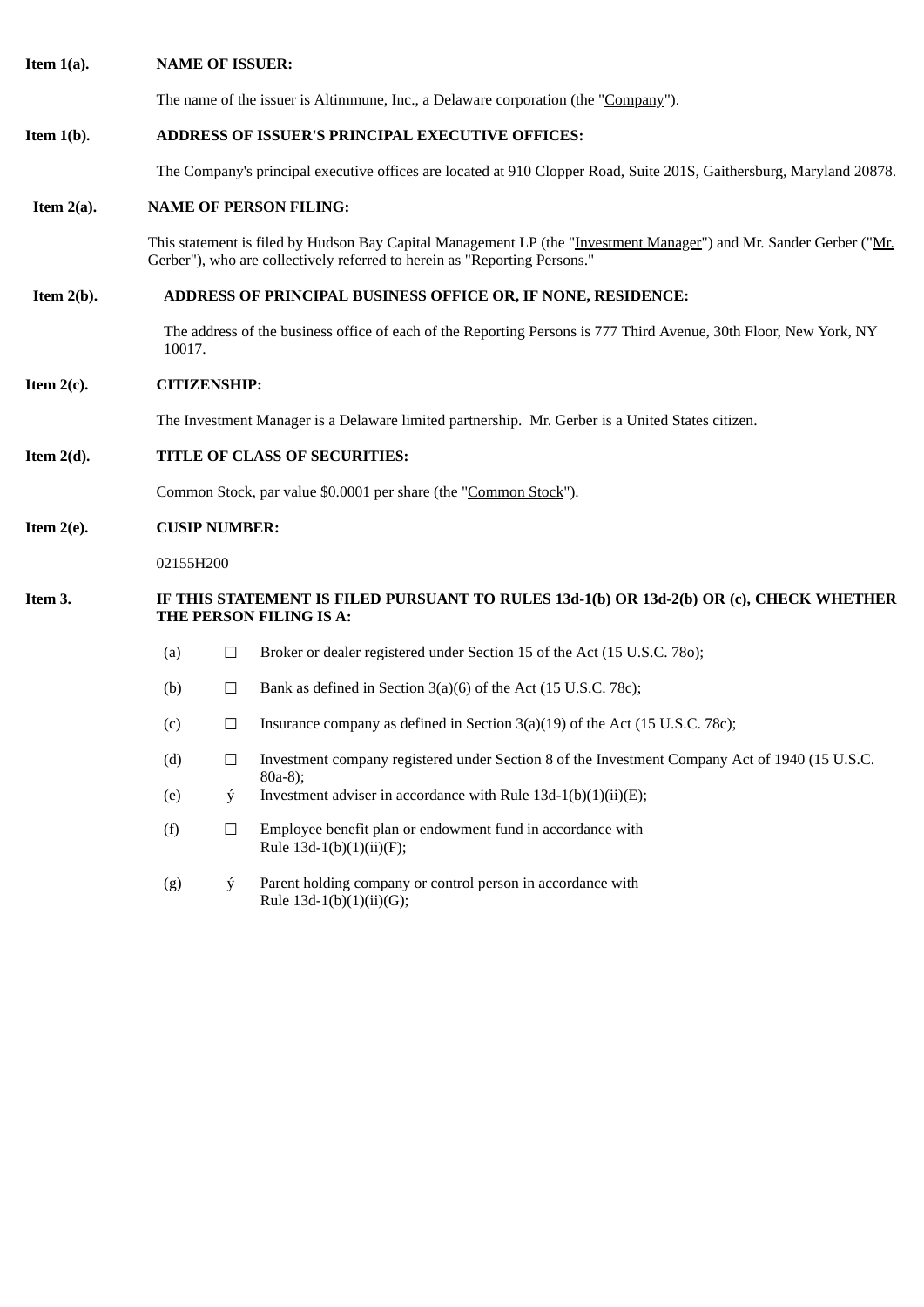| Item $1(a)$ . |                               | <b>NAME OF ISSUER:</b>                                                                                                      |                                                                                                                                                                                                 |  |  |  |  |
|---------------|-------------------------------|-----------------------------------------------------------------------------------------------------------------------------|-------------------------------------------------------------------------------------------------------------------------------------------------------------------------------------------------|--|--|--|--|
|               |                               |                                                                                                                             | The name of the issuer is Altimmune, Inc., a Delaware corporation (the "Company").                                                                                                              |  |  |  |  |
| Item $1(b)$ . |                               | ADDRESS OF ISSUER'S PRINCIPAL EXECUTIVE OFFICES:                                                                            |                                                                                                                                                                                                 |  |  |  |  |
|               |                               |                                                                                                                             | The Company's principal executive offices are located at 910 Clopper Road, Suite 201S, Gaithersburg, Maryland 20878.                                                                            |  |  |  |  |
| Item $2(a)$ . |                               |                                                                                                                             | <b>NAME OF PERSON FILING:</b>                                                                                                                                                                   |  |  |  |  |
|               |                               |                                                                                                                             | This statement is filed by Hudson Bay Capital Management LP (the "Investment Manager") and Mr. Sander Gerber ("Mr.<br>Gerber"), who are collectively referred to herein as "Reporting Persons." |  |  |  |  |
| Item $2(b)$ . |                               | ADDRESS OF PRINCIPAL BUSINESS OFFICE OR, IF NONE, RESIDENCE:                                                                |                                                                                                                                                                                                 |  |  |  |  |
|               |                               | The address of the business office of each of the Reporting Persons is 777 Third Avenue, 30th Floor, New York, NY<br>10017. |                                                                                                                                                                                                 |  |  |  |  |
| Item $2(c)$ . |                               | <b>CITIZENSHIP:</b>                                                                                                         |                                                                                                                                                                                                 |  |  |  |  |
|               |                               |                                                                                                                             | The Investment Manager is a Delaware limited partnership. Mr. Gerber is a United States citizen.                                                                                                |  |  |  |  |
| Item $2(d)$ . | TITLE OF CLASS OF SECURITIES: |                                                                                                                             |                                                                                                                                                                                                 |  |  |  |  |
|               |                               |                                                                                                                             | Common Stock, par value \$0.0001 per share (the "Common Stock").                                                                                                                                |  |  |  |  |
| Item $2(e)$ . |                               | <b>CUSIP NUMBER:</b>                                                                                                        |                                                                                                                                                                                                 |  |  |  |  |
|               | 02155H200                     |                                                                                                                             |                                                                                                                                                                                                 |  |  |  |  |
| Item 3.       |                               | IF THIS STATEMENT IS FILED PURSUANT TO RULES 13d-1(b) OR 13d-2(b) OR (c), CHECK WHETHER<br>THE PERSON FILING IS A:          |                                                                                                                                                                                                 |  |  |  |  |
|               | (a)                           | $\Box$                                                                                                                      | Broker or dealer registered under Section 15 of the Act (15 U.S.C. 780);                                                                                                                        |  |  |  |  |
|               | (b)                           | $\Box$                                                                                                                      | Bank as defined in Section 3(a)(6) of the Act (15 U.S.C. 78c);                                                                                                                                  |  |  |  |  |
|               | (c)                           | $\Box$                                                                                                                      | Insurance company as defined in Section $3(a)(19)$ of the Act (15 U.S.C. 78c);                                                                                                                  |  |  |  |  |
|               | (d)                           | $\Box$                                                                                                                      | Investment company registered under Section 8 of the Investment Company Act of 1940 (15 U.S.C.<br>$80a-8$ );                                                                                    |  |  |  |  |
|               | (e)                           | ý                                                                                                                           | Investment adviser in accordance with Rule $13d-1(b)(1)(ii)(E)$ ;                                                                                                                               |  |  |  |  |

Rule 13d-1(b)(1)(ii)(F); (g) ý Parent holding company or control person in accordance with

(f)  $\Box$  Employee benefit plan or endowment fund in accordance with

Rule 13d-1(b)(1)(ii)(G);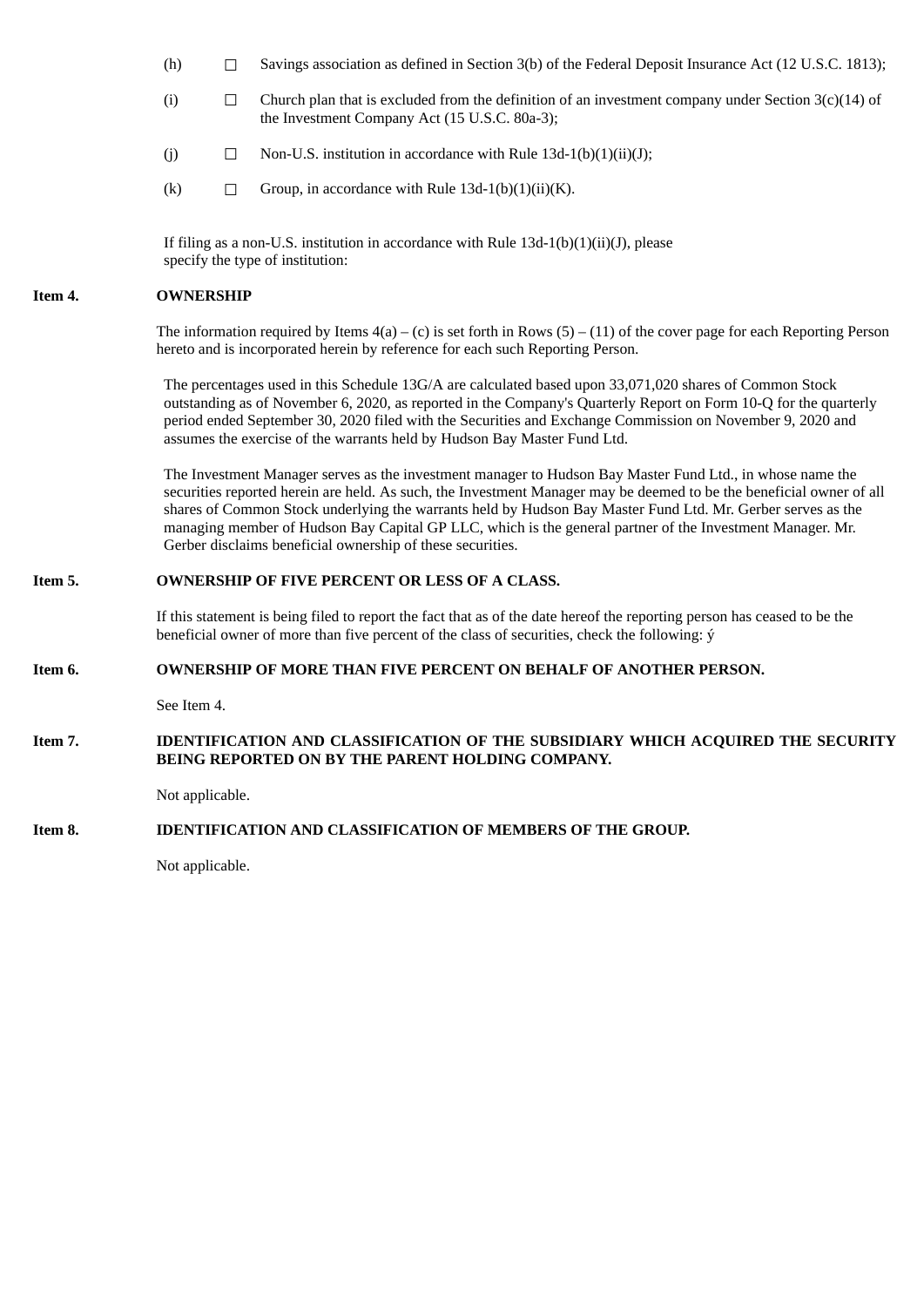- (h)  $\Box$  Savings association as defined in Section 3(b) of the Federal Deposit Insurance Act (12 U.S.C. 1813);
- (i)  $\Box$  Church plan that is excluded from the definition of an investment company under Section 3(c)(14) of the Investment Company Act (15 U.S.C. 80a-3);
- (j)  $\Box$  Non-U.S. institution in accordance with Rule 13d-1(b)(1)(ii)(J);
- (k)  $\Box$  Group, in accordance with Rule 13d-1(b)(1)(ii)(K).

If filing as a non-U.S. institution in accordance with Rule  $13d-1(b)(1)(ii)(J)$ , please specify the type of institution:

#### **Item 4. OWNERSHIP**

The information required by Items  $4(a) - (c)$  is set forth in Rows  $(5) - (11)$  of the cover page for each Reporting Person hereto and is incorporated herein by reference for each such Reporting Person.

The percentages used in this Schedule 13G/A are calculated based upon 33,071,020 shares of Common Stock outstanding as of November 6, 2020, as reported in the Company's Quarterly Report on Form 10-Q for the quarterly period ended September 30, 2020 filed with the Securities and Exchange Commission on November 9, 2020 and assumes the exercise of the warrants held by Hudson Bay Master Fund Ltd.

The Investment Manager serves as the investment manager to Hudson Bay Master Fund Ltd., in whose name the securities reported herein are held. As such, the Investment Manager may be deemed to be the beneficial owner of all shares of Common Stock underlying the warrants held by Hudson Bay Master Fund Ltd. Mr. Gerber serves as the managing member of Hudson Bay Capital GP LLC, which is the general partner of the Investment Manager. Mr. Gerber disclaims beneficial ownership of these securities.

## **Item 5. OWNERSHIP OF FIVE PERCENT OR LESS OF A CLASS.**

If this statement is being filed to report the fact that as of the date hereof the reporting person has ceased to be the beneficial owner of more than five percent of the class of securities, check the following: ý

### **Item 6. OWNERSHIP OF MORE THAN FIVE PERCENT ON BEHALF OF ANOTHER PERSON.**

See Item 4.

## **Item 7. IDENTIFICATION AND CLASSIFICATION OF THE SUBSIDIARY WHICH ACQUIRED THE SECURITY BEING REPORTED ON BY THE PARENT HOLDING COMPANY.**

Not applicable.

### **Item 8. IDENTIFICATION AND CLASSIFICATION OF MEMBERS OF THE GROUP.**

Not applicable.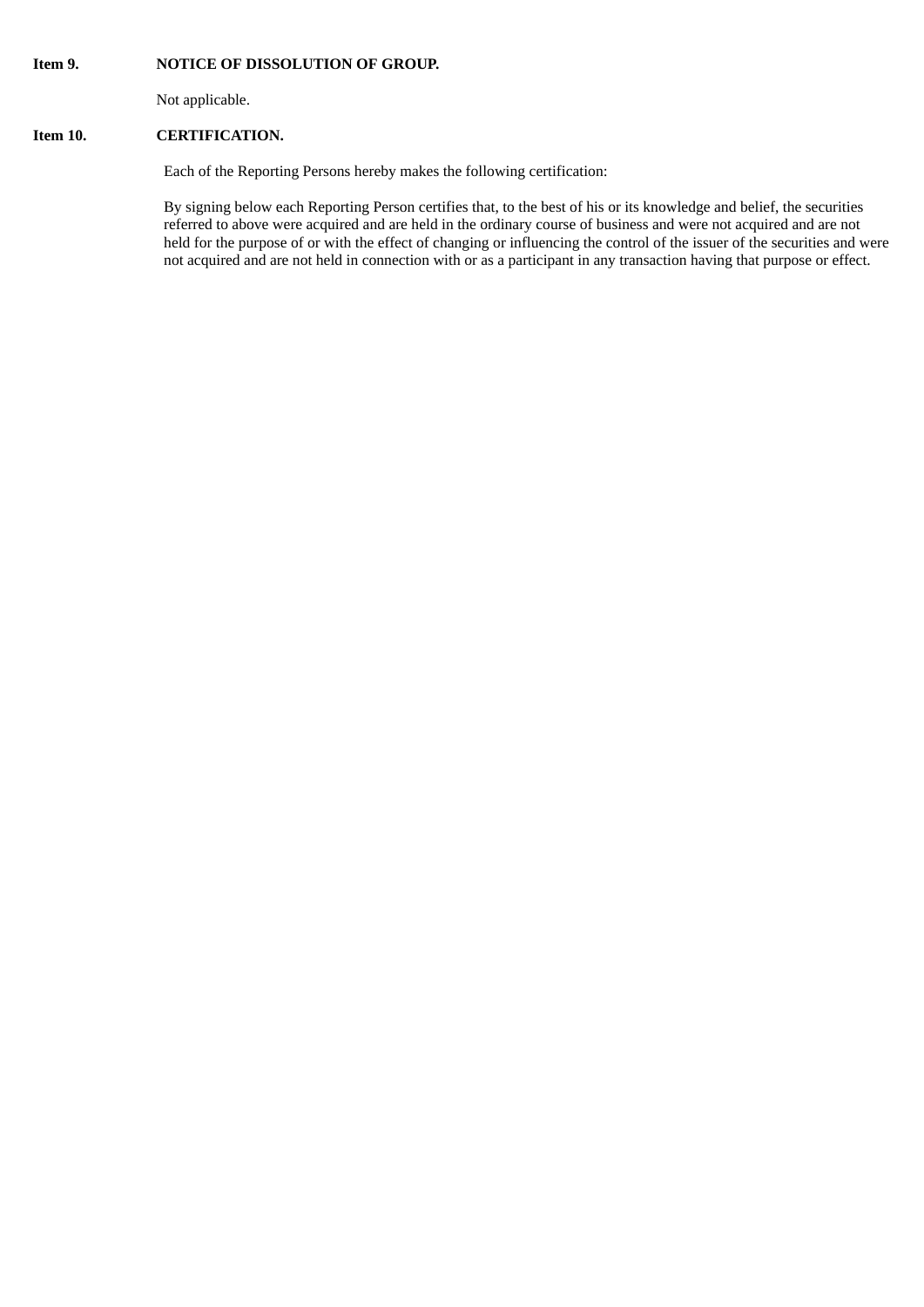#### **Item 9. NOTICE OF DISSOLUTION OF GROUP.**

Not applicable.

## **Item 10. CERTIFICATION.**

Each of the Reporting Persons hereby makes the following certification:

By signing below each Reporting Person certifies that, to the best of his or its knowledge and belief, the securities referred to above were acquired and are held in the ordinary course of business and were not acquired and are not held for the purpose of or with the effect of changing or influencing the control of the issuer of the securities and were not acquired and are not held in connection with or as a participant in any transaction having that purpose or effect.